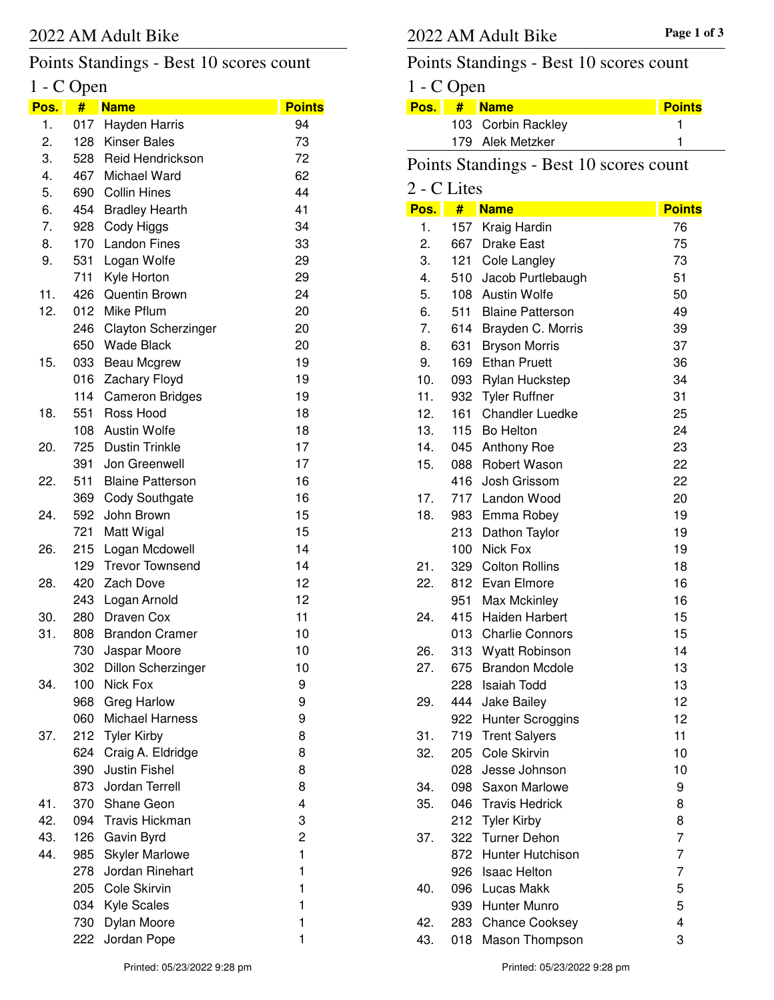## Points Standings - Best 10 scores count

## 1 - C Open

| Pos. | T.<br># | <b>Name</b>                | <b>Points</b> |
|------|---------|----------------------------|---------------|
| 1.   | 017     | Hayden Harris              | 94            |
| 2.   | 128     | <b>Kinser Bales</b>        | 73            |
| 3.   | 528     | <b>Reid Hendrickson</b>    | 72            |
| 4.   | 467     | Michael Ward               | 62            |
| 5.   | 690     | <b>Collin Hines</b>        | 44            |
| 6.   | 454     | <b>Bradley Hearth</b>      | 41            |
| 7.   | 928     | Cody Higgs                 | 34            |
| 8.   | 170     | <b>Landon Fines</b>        | 33            |
| 9.   | 531     | Logan Wolfe                | 29            |
|      | 711     | Kyle Horton                | 29            |
| 11.  | 426     | <b>Quentin Brown</b>       | 24            |
| 12.  | 012     | Mike Pflum                 | 20            |
|      | 246     | <b>Clayton Scherzinger</b> | 20            |
|      | 650     | <b>Wade Black</b>          | 20            |
| 15.  | 033     | Beau Mcgrew                | 19            |
|      | 016     | Zachary Floyd              | 19            |
|      | 114     | <b>Cameron Bridges</b>     | 19            |
| 18.  | 551     | Ross Hood                  | 18            |
|      | 108     | <b>Austin Wolfe</b>        | 18            |
| 20.  | 725     | <b>Dustin Trinkle</b>      | 17            |
|      | 391     | Jon Greenwell              | 17            |
| 22.  | 511     | <b>Blaine Patterson</b>    | 16            |
|      | 369     | <b>Cody Southgate</b>      | 16            |
| 24.  | 592     | John Brown                 | 15            |
|      | 721     | Matt Wigal                 | 15            |
| 26.  | 215     | Logan Mcdowell             | 14            |
|      | 129     | <b>Trevor Townsend</b>     | 14            |
| 28.  | 420     | Zach Dove                  | 12            |
|      |         | 243 Logan Arnold           | 12            |
| 30.  | 280     | Draven Cox                 | 11            |
| 31.  | 808     | <b>Brandon Cramer</b>      | 10            |
|      | 730     | Jaspar Moore               | 10            |
|      | 302     | <b>Dillon Scherzinger</b>  | 10            |
| 34.  | 100     | Nick Fox                   | 9             |
|      | 968     | Greg Harlow                | 9             |
|      | 060     | <b>Michael Harness</b>     | 9             |
| 37.  | 212     | <b>Tyler Kirby</b>         | 8             |
|      | 624     | Craig A. Eldridge          | 8             |
|      | 390     | Justin Fishel              | 8             |
|      | 873     | Jordan Terrell             | 8             |
| 41.  | 370     | Shane Geon                 | 4             |
| 42.  | 094     | <b>Travis Hickman</b>      | 3             |
| 43.  | 126     | Gavin Byrd                 | 2             |
| 44.  | 985     | <b>Skyler Marlowe</b>      | 1             |
|      | 278     | Jordan Rinehart            | 1             |
|      | 205     | Cole Skirvin               | 1             |
|      | 034     | Kyle Scales                | 1             |
|      | 730     | Dylan Moore                | 1             |
|      | 222     | Jordan Pope                | 1             |

## Points Standings - Best 10 scores count

| $1 - C$ Open |  |                    |               |  |  |
|--------------|--|--------------------|---------------|--|--|
|              |  | Pos. # Name        | <b>Points</b> |  |  |
|              |  | 103 Corbin Rackley |               |  |  |
|              |  | 179 Alek Metzker   |               |  |  |
|              |  |                    |               |  |  |

# Points Standings - Best 10 scores count

| 2 - C Lites |     |                         |               |
|-------------|-----|-------------------------|---------------|
| Pos.        | #   | <b>Name</b>             | <b>Points</b> |
| 1.          | 157 | Kraig Hardin            | 76            |
| 2.          | 667 | <b>Drake East</b>       | 75            |
| 3.          | 121 | Cole Langley            | 73            |
| 4.          | 510 | Jacob Purtlebaugh       | 51            |
| 5.          | 108 | Austin Wolfe            | 50            |
| 6.          | 511 | <b>Blaine Patterson</b> | 49            |
| 7.          | 614 | Brayden C. Morris       | 39            |
| 8.          | 631 | <b>Bryson Morris</b>    | 37            |
| 9.          | 169 | <b>Ethan Pruett</b>     | 36            |
| 10.         | 093 | <b>Rylan Huckstep</b>   | 34            |
| 11.         | 932 | <b>Tyler Ruffner</b>    | 31            |
| 12.         | 161 | <b>Chandler Luedke</b>  | 25            |
| 13.         |     | 115 Bo Helton           | 24            |
| 14.         | 045 | <b>Anthony Roe</b>      | 23            |
| 15.         | 088 | <b>Robert Wason</b>     | 22            |
|             | 416 | Josh Grissom            | 22            |
| 17.         |     | 717 Landon Wood         | 20            |
| 18.         |     | 983 Emma Robey          | 19            |
|             | 213 | Dathon Taylor           | 19            |
|             | 100 | Nick Fox                | 19            |
| 21.         |     | 329 Colton Rollins      | 18            |
| 22.         |     | 812 Evan Elmore         | 16            |
|             | 951 | Max Mckinley            | 16            |
| 24.         | 415 | <b>Haiden Harbert</b>   | 15            |
|             | 013 | <b>Charlie Connors</b>  | 15            |
| 26.         | 313 | Wyatt Robinson          | 14            |
| 27.         | 675 | <b>Brandon Mcdole</b>   | 13            |
|             | 228 | Isaiah Todd             | 13            |
| 29.         | 444 | Jake Bailey             | 12            |
|             | 922 | <b>Hunter Scroggins</b> | 12            |
| 31.         | 719 | <b>Trent Salyers</b>    | 11            |
| 32.         | 205 | Cole Skirvin            | 10            |
|             | 028 | Jesse Johnson           | 10            |
| 34.         |     | 098 Saxon Marlowe       | 9             |
| 35.         |     | 046 Travis Hedrick      | 8             |
|             | 212 | <b>Tyler Kirby</b>      | 8             |
| 37.         | 322 | <b>Turner Dehon</b>     | 7             |
|             | 872 | <b>Hunter Hutchison</b> | 7             |
|             | 926 | <b>Isaac Helton</b>     | 7             |
| 40.         | 096 | Lucas Makk              | 5             |
|             |     | 939 Hunter Munro        | 5             |
| 42.         |     | 283 Chance Cooksey      | 4             |
| 43.         | 018 | Mason Thompson          | 3             |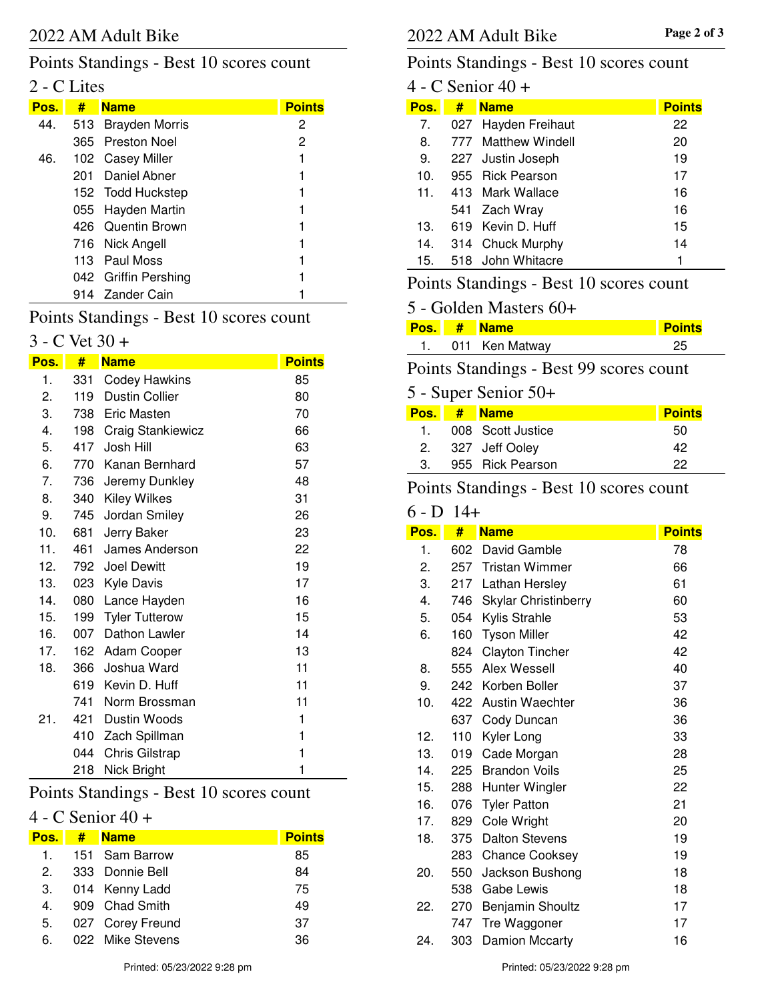#### Points Standings - Best 10 scores count

### 2 - C Lites

| Pos. | # Name               | <b>Points</b> |
|------|----------------------|---------------|
| 44.  | 513 Brayden Morris   | 2             |
|      | 365 Preston Noel     | 2             |
|      | 46. 102 Casey Miller |               |
|      | 201 Daniel Abner     |               |
|      | 152 Todd Huckstep    |               |
|      | 055 Hayden Martin    |               |
|      | 426 Quentin Brown    |               |
|      | 716 Nick Angell      |               |
|      | 113 Paul Moss        |               |
|      | 042 Griffin Pershing |               |
|      | 914 Zander Cain      |               |

#### Points Standings - Best 10 scores count

#### $3 - C$  Vet  $30 +$

| <u>Pos.</u> | #   | <b>Name</b>              | <b>Points</b> |
|-------------|-----|--------------------------|---------------|
| 1.          | 331 | <b>Codey Hawkins</b>     | 85            |
| 2.          | 119 | <b>Dustin Collier</b>    | 80            |
| 3.          |     | 738 Eric Masten          | 70            |
| 4.          | 198 | <b>Craig Stankiewicz</b> | 66            |
| 5.          | 417 | Josh Hill                | 63            |
| 6.          |     | 770 Kanan Bernhard       | 57            |
| 7.          | 736 | Jeremy Dunkley           | 48            |
| 8.          | 340 | <b>Kiley Wilkes</b>      | 31            |
| 9.          | 745 | Jordan Smiley            | 26            |
| 10.         | 681 | Jerry Baker              | 23            |
| 11.         | 461 | James Anderson           | 22            |
| 12.         | 792 | <b>Joel Dewitt</b>       | 19            |
| 13.         | 023 | <b>Kyle Davis</b>        | 17            |
| 14.         | 080 | Lance Hayden             | 16            |
| 15.         | 199 | <b>Tyler Tutterow</b>    | 15            |
| 16.         | 007 | Dathon Lawler            | 14            |
| 17.         | 162 | Adam Cooper              | 13            |
| 18.         | 366 | Joshua Ward              | 11            |
|             | 619 | Kevin D. Huff            | 11            |
|             | 741 | Norm Brossman            | 11            |
| 21.         | 421 | Dustin Woods             | 1             |
|             | 410 | Zach Spillman            | 1             |
|             | 044 | <b>Chris Gilstrap</b>    | $\mathbf{1}$  |
|             | 218 | Nick Bright              | 1             |

#### Points Standings - Best 10 scores count

### 4 - C Senior 40 +

| Pos.          | # Name           | <b>Points</b> |
|---------------|------------------|---------------|
| 1.            | 151 Sam Barrow   | 85            |
| $\mathcal{P}$ | 333 Donnie Bell  | 84            |
| 3.            | 014 Kenny Ladd   | 75            |
| $4_{\cdot}$   | 909 Chad Smith   | 49            |
| 5.            | 027 Corey Freund | 37            |
| 6.            | 022 Mike Stevens | 36.           |

#### Points Standings - Best 10 scores count

| 4 - C Senior 40 + |     |                     |               |  |
|-------------------|-----|---------------------|---------------|--|
| Pos.              | #   | <b>Name</b>         | <b>Points</b> |  |
| 7.                |     | 027 Hayden Freihaut | 22            |  |
| 8.                |     | 777 Matthew Windell | 20            |  |
| 9.                |     | 227 Justin Joseph   | 19            |  |
| 10.               |     | 955 Rick Pearson    | 17            |  |
| 11.               |     | 413 Mark Wallace    | 16            |  |
|                   | 541 | Zach Wray           | 16            |  |
| 13.               | 619 | - Kevin D. Huff     | 15            |  |
| 14.               | 314 | Chuck Murphy        | 14            |  |
| 15.               |     | 518 John Whitacre   | 1             |  |

#### Points Standings - Best 10 scores count

#### 5 - Golden Masters 60+

|  | Pos. # Name    | <b>Points</b> |
|--|----------------|---------------|
|  | 011 Ken Matway |               |

### Points Standings - Best 99 scores count

### 5 - Super Senior 50+

|              | Pos. # Name       | <b>Points</b> |
|--------------|-------------------|---------------|
| $\mathbf{1}$ | 008 Scott Justice | 50            |
|              | 2. 327 Jeff Ooley | 42            |
| 3.           | 955 Rick Pearson  | つつ            |

#### Points Standings - Best 10 scores count

#### $6 - D$  14+

| Pos. | #   | <b>Name</b>                 | <b>Points</b> |
|------|-----|-----------------------------|---------------|
| 1.   | 602 | David Gamble                | 78            |
| 2.   | 257 | <b>Tristan Wimmer</b>       | 66            |
| 3.   | 217 | Lathan Hersley              | 61            |
| 4.   | 746 | <b>Skylar Christinberry</b> | 60            |
| 5.   | 054 | Kylis Strahle               | 53            |
| 6.   | 160 | <b>Tyson Miller</b>         | 42            |
|      | 824 | <b>Clayton Tincher</b>      | 42            |
| 8.   | 555 | Alex Wessell                | 40            |
| 9.   | 242 | Korben Boller               | 37            |
| 10.  | 422 | Austin Waechter             | 36            |
|      | 637 | Cody Duncan                 | 36            |
| 12.  | 110 | Kyler Long                  | 33            |
| 13.  | 019 | Cade Morgan                 | 28            |
| 14.  | 225 | <b>Brandon Voils</b>        | 25            |
| 15.  | 288 | Hunter Wingler              | 22            |
| 16.  | 076 | <b>Tyler Patton</b>         | 21            |
| 17.  | 829 | Cole Wright                 | 20            |
| 18.  | 375 | <b>Dalton Stevens</b>       | 19            |
|      | 283 | <b>Chance Cooksey</b>       | 19            |
| 20.  | 550 | Jackson Bushong             | 18            |
|      | 538 | Gabe Lewis                  | 18            |
| 22.  | 270 | <b>Benjamin Shoultz</b>     | 17            |
|      | 747 | Tre Waggoner                | 17            |
| 24.  | 303 | Damion Mccarty              | 16            |